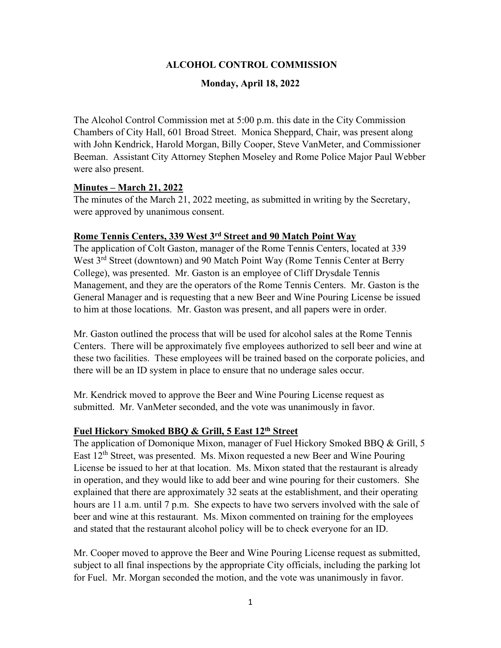## **ALCOHOL CONTROL COMMISSION**

#### **Monday, April 18, 2022**

The Alcohol Control Commission met at 5:00 p.m. this date in the City Commission Chambers of City Hall, 601 Broad Street. Monica Sheppard, Chair, was present along with John Kendrick, Harold Morgan, Billy Cooper, Steve VanMeter, and Commissioner Beeman. Assistant City Attorney Stephen Moseley and Rome Police Major Paul Webber were also present.

#### **Minutes – March 21, 2022**

The minutes of the March 21, 2022 meeting, as submitted in writing by the Secretary, were approved by unanimous consent.

#### **Rome Tennis Centers, 339 West 3rd Street and 90 Match Point Way**

The application of Colt Gaston, manager of the Rome Tennis Centers, located at 339 West 3<sup>rd</sup> Street (downtown) and 90 Match Point Way (Rome Tennis Center at Berry College), was presented. Mr. Gaston is an employee of Cliff Drysdale Tennis Management, and they are the operators of the Rome Tennis Centers. Mr. Gaston is the General Manager and is requesting that a new Beer and Wine Pouring License be issued to him at those locations. Mr. Gaston was present, and all papers were in order.

Mr. Gaston outlined the process that will be used for alcohol sales at the Rome Tennis Centers. There will be approximately five employees authorized to sell beer and wine at these two facilities. These employees will be trained based on the corporate policies, and there will be an ID system in place to ensure that no underage sales occur.

Mr. Kendrick moved to approve the Beer and Wine Pouring License request as submitted. Mr. VanMeter seconded, and the vote was unanimously in favor.

#### **Fuel Hickory Smoked BBQ & Grill, 5 East 12th Street**

The application of Domonique Mixon, manager of Fuel Hickory Smoked BBQ & Grill, 5 East 12th Street, was presented. Ms. Mixon requested a new Beer and Wine Pouring License be issued to her at that location. Ms. Mixon stated that the restaurant is already in operation, and they would like to add beer and wine pouring for their customers. She explained that there are approximately 32 seats at the establishment, and their operating hours are 11 a.m. until 7 p.m. She expects to have two servers involved with the sale of beer and wine at this restaurant. Ms. Mixon commented on training for the employees and stated that the restaurant alcohol policy will be to check everyone for an ID.

Mr. Cooper moved to approve the Beer and Wine Pouring License request as submitted, subject to all final inspections by the appropriate City officials, including the parking lot for Fuel. Mr. Morgan seconded the motion, and the vote was unanimously in favor.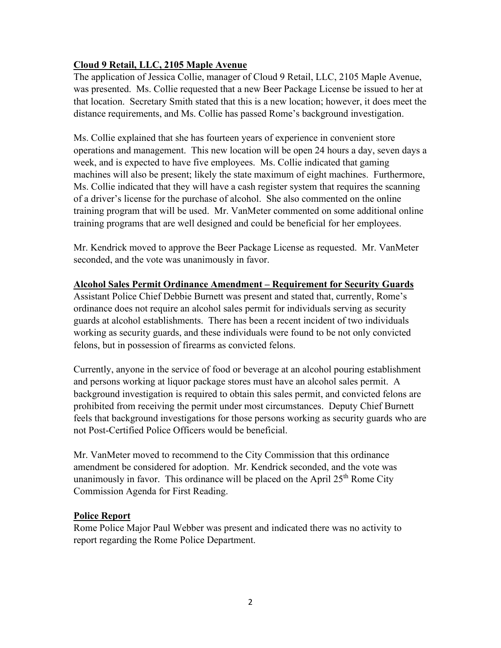# **Cloud 9 Retail, LLC, 2105 Maple Avenue**

The application of Jessica Collie, manager of Cloud 9 Retail, LLC, 2105 Maple Avenue, was presented. Ms. Collie requested that a new Beer Package License be issued to her at that location. Secretary Smith stated that this is a new location; however, it does meet the distance requirements, and Ms. Collie has passed Rome's background investigation.

Ms. Collie explained that she has fourteen years of experience in convenient store operations and management. This new location will be open 24 hours a day, seven days a week, and is expected to have five employees. Ms. Collie indicated that gaming machines will also be present; likely the state maximum of eight machines. Furthermore, Ms. Collie indicated that they will have a cash register system that requires the scanning of a driver's license for the purchase of alcohol. She also commented on the online training program that will be used. Mr. VanMeter commented on some additional online training programs that are well designed and could be beneficial for her employees.

Mr. Kendrick moved to approve the Beer Package License as requested. Mr. VanMeter seconded, and the vote was unanimously in favor.

### **Alcohol Sales Permit Ordinance Amendment – Requirement for Security Guards**

Assistant Police Chief Debbie Burnett was present and stated that, currently, Rome's ordinance does not require an alcohol sales permit for individuals serving as security guards at alcohol establishments. There has been a recent incident of two individuals working as security guards, and these individuals were found to be not only convicted felons, but in possession of firearms as convicted felons.

Currently, anyone in the service of food or beverage at an alcohol pouring establishment and persons working at liquor package stores must have an alcohol sales permit. A background investigation is required to obtain this sales permit, and convicted felons are prohibited from receiving the permit under most circumstances. Deputy Chief Burnett feels that background investigations for those persons working as security guards who are not Post-Certified Police Officers would be beneficial.

Mr. VanMeter moved to recommend to the City Commission that this ordinance amendment be considered for adoption. Mr. Kendrick seconded, and the vote was unanimously in favor. This ordinance will be placed on the April  $25<sup>th</sup>$  Rome City Commission Agenda for First Reading.

# **Police Report**

Rome Police Major Paul Webber was present and indicated there was no activity to report regarding the Rome Police Department.